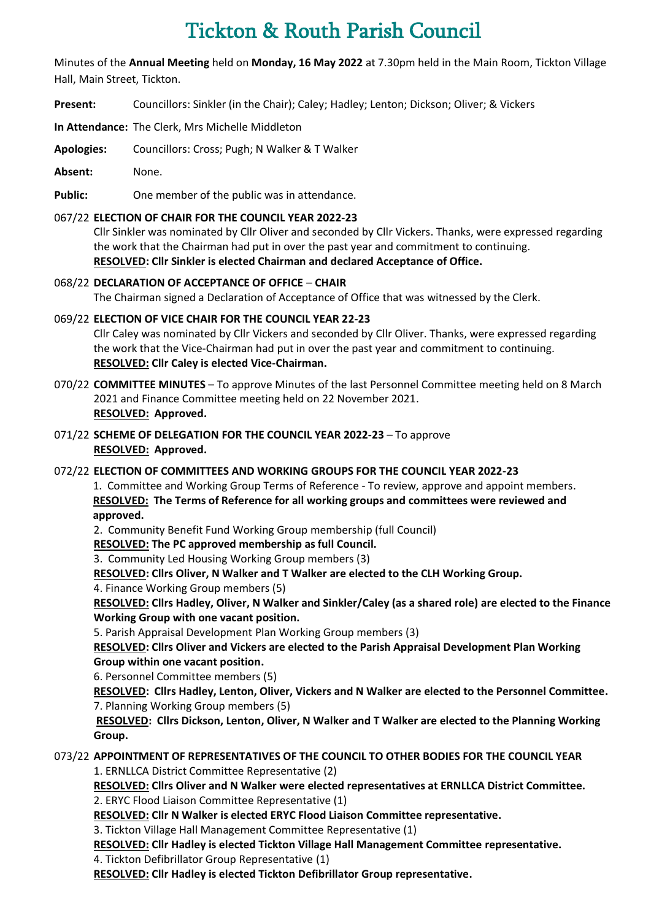# Tickton & Routh Parish Council

Minutes of the **Annual Meeting** held on **Monday, 16 May 2022** at 7.30pm held in the Main Room, Tickton Village Hall, Main Street, Tickton.

- **Present:** Councillors: Sinkler (in the Chair); Caley; Hadley; Lenton; Dickson; Oliver; & Vickers
- **In Attendance:** The Clerk, Mrs Michelle Middleton
- **Apologies:** Councillors: Cross; Pugh; N Walker & T Walker
- **Absent:** None.

Public: One member of the public was in attendance.

# 067/22 **ELECTION OF CHAIR FOR THE COUNCIL YEAR 2022-23**

Cllr Sinkler was nominated by Cllr Oliver and seconded by Cllr Vickers. Thanks, were expressed regarding the work that the Chairman had put in over the past year and commitment to continuing. **RESOLVED: Cllr Sinkler is elected Chairman and declared Acceptance of Office.**

068/22 **DECLARATION OF ACCEPTANCE OF OFFICE** – **CHAIR** The Chairman signed a Declaration of Acceptance of Office that was witnessed by the Clerk.

069/22 **ELECTION OF VICE CHAIR FOR THE COUNCIL YEAR 22-23** Cllr Caley was nominated by Cllr Vickers and seconded by Cllr Oliver. Thanks, were expressed regarding the work that the Vice-Chairman had put in over the past year and commitment to continuing. **RESOLVED: Cllr Caley is elected Vice-Chairman.**

- 070/22 **COMMITTEE MINUTES** To approve Minutes of the last Personnel Committee meeting held on 8 March 2021 and Finance Committee meeting held on 22 November 2021. **RESOLVED: Approved.**
- 071/22 **SCHEME OF DELEGATION FOR THE COUNCIL YEAR 2022-23** To approve **RESOLVED: Approved.**

# 072/22 **ELECTION OF COMMITTEES AND WORKING GROUPS FOR THE COUNCIL YEAR 2022-23**

1. Committee and Working Group Terms of Reference - To review, approve and appoint members. **RESOLVED: The Terms of Reference for all working groups and committees were reviewed and approved.**

2. Community Benefit Fund Working Group membership (full Council)

**RESOLVED: The PC approved membership as full Council.**

3. Community Led Housing Working Group members (3)

**RESOLVED: Cllrs Oliver, N Walker and T Walker are elected to the CLH Working Group.**

4. Finance Working Group members (5)

**RESOLVED: Cllrs Hadley, Oliver, N Walker and Sinkler/Caley (as a shared role) are elected to the Finance Working Group with one vacant position.**

5. Parish Appraisal Development Plan Working Group members (3)

**RESOLVED: Cllrs Oliver and Vickers are elected to the Parish Appraisal Development Plan Working Group within one vacant position.**

6. Personnel Committee members (5)

**RESOLVED: Cllrs Hadley, Lenton, Oliver, Vickers and N Walker are elected to the Personnel Committee.** 7. Planning Working Group members (5)

**RESOLVED: Cllrs Dickson, Lenton, Oliver, N Walker and T Walker are elected to the Planning Working Group.**

#### 073/22 **APPOINTMENT OF REPRESENTATIVES OF THE COUNCIL TO OTHER BODIES FOR THE COUNCIL YEAR** 1. ERNLLCA District Committee Representative (2)

**RESOLVED: Cllrs Oliver and N Walker were elected representatives at ERNLLCA District Committee.** 2. ERYC Flood Liaison Committee Representative (1)

**RESOLVED: Cllr N Walker is elected ERYC Flood Liaison Committee representative.**

3. Tickton Village Hall Management Committee Representative (1)

**RESOLVED: Cllr Hadley is elected Tickton Village Hall Management Committee representative.**

4. Tickton Defibrillator Group Representative (1)

**RESOLVED: Cllr Hadley is elected Tickton Defibrillator Group representative.**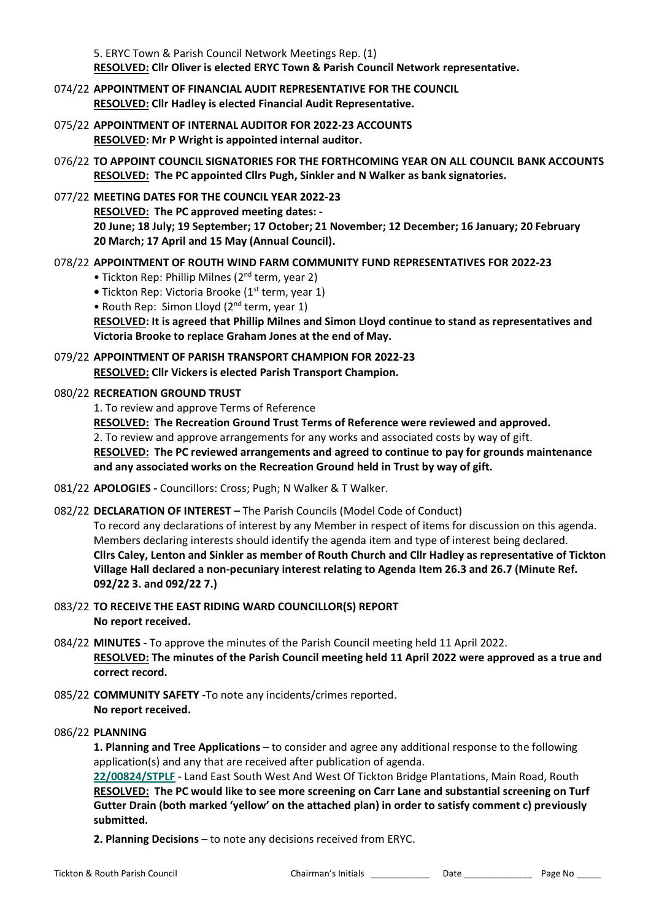5. ERYC Town & Parish Council Network Meetings Rep. (1) **RESOLVED: Cllr Oliver is elected ERYC Town & Parish Council Network representative.**

- 074/22 **APPOINTMENT OF FINANCIAL AUDIT REPRESENTATIVE FOR THE COUNCIL RESOLVED: Cllr Hadley is elected Financial Audit Representative.**
- 075/22 **APPOINTMENT OF INTERNAL AUDITOR FOR 2022-23 ACCOUNTS RESOLVED: Mr P Wright is appointed internal auditor.**
- 076/22 **TO APPOINT COUNCIL SIGNATORIES FOR THE FORTHCOMING YEAR ON ALL COUNCIL BANK ACCOUNTS RESOLVED: The PC appointed Cllrs Pugh, Sinkler and N Walker as bank signatories.**
- 077/22 **MEETING DATES FOR THE COUNCIL YEAR 2022-23 RESOLVED: The PC approved meeting dates: - 20 June; 18 July; 19 September; 17 October; 21 November; 12 December; 16 January; 20 February 20 March; 17 April and 15 May (Annual Council).**
- 078/22 **APPOINTMENT OF ROUTH WIND FARM COMMUNITY FUND REPRESENTATIVES FOR 2022-23**
	- Tickton Rep: Phillip Milnes (2<sup>nd</sup> term, year 2)
	- **•** Tickton Rep: Victoria Brooke (1<sup>st</sup> term, year 1)
	- Routh Rep: Simon Lloyd (2<sup>nd</sup> term, year 1)

**RESOLVED: It is agreed that Phillip Milnes and Simon Lloyd continue to stand as representatives and Victoria Brooke to replace Graham Jones at the end of May.**

079/22 **APPOINTMENT OF PARISH TRANSPORT CHAMPION FOR 2022-23 RESOLVED: Cllr Vickers is elected Parish Transport Champion.**

#### 080/22 **RECREATION GROUND TRUST**

1. To review and approve Terms of Reference

**RESOLVED: The Recreation Ground Trust Terms of Reference were reviewed and approved.** 

2. To review and approve arrangements for any works and associated costs by way of gift.

**RESOLVED: The PC reviewed arrangements and agreed to continue to pay for grounds maintenance and any associated works on the Recreation Ground held in Trust by way of gift.** 

- 081/22 **APOLOGIES -** Councillors: Cross; Pugh; N Walker & T Walker.
- 082/22 **DECLARATION OF INTEREST –** The Parish Councils (Model Code of Conduct)

To record any declarations of interest by any Member in respect of items for discussion on this agenda. Members declaring interests should identify the agenda item and type of interest being declared. **Cllrs Caley, Lenton and Sinkler as member of Routh Church and Cllr Hadley as representative of Tickton Village Hall declared a non-pecuniary interest relating to Agenda Item 26.3 and 26.7 (Minute Ref. 092/22 3. and 092/22 7.)** 

- 083/22 **TO RECEIVE THE EAST RIDING WARD COUNCILLOR(S) REPORT No report received.**
- 084/22 **MINUTES -** To approve the minutes of the Parish Council meeting held 11 April 2022. **RESOLVED: The minutes of the Parish Council meeting held 11 April 2022 were approved as a true and correct record.**
- 085/22 **COMMUNITY SAFETY -**To note any incidents/crimes reported. **No report received.**
- 086/22 **PLANNING**

**1. Planning and Tree Applications** – to consider and agree any additional response to the following application(s) and any that are received after publication of agenda.

**[22/00824/STPLF](https://newplanningaccess.eastriding.gov.uk/newplanningaccess/PLAN/22/00824/STPLF)** - Land East South West And West Of Tickton Bridge Plantations, Main Road, Routh **RESOLVED: The PC would like to see more screening on Carr Lane and substantial screening on Turf Gutter Drain (both marked 'yellow' on the attached plan) in order to satisfy comment c) previously submitted.**

**2. Planning Decisions** – to note any decisions received from ERYC.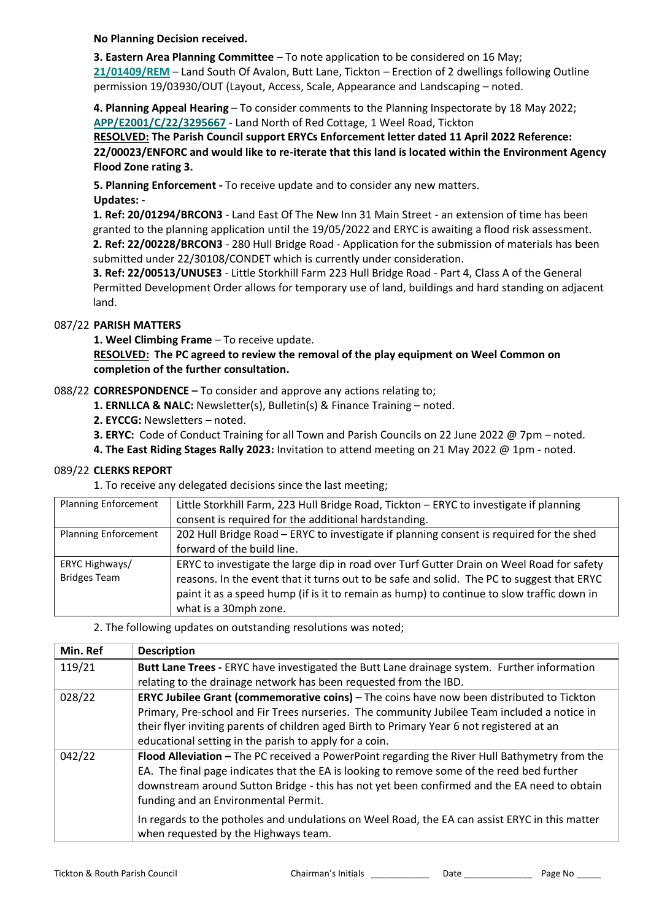**No Planning Decision received.**

**3. Eastern Area Planning Committee** – To note application to be considered on 16 May; **[21/01409/REM](https://newplanningaccess.eastriding.gov.uk/newplanningaccess/PLAN/21/01409/REM)** – Land South Of Avalon, Butt Lane, Tickton – Erection of 2 dwellings following Outline permission 19/03930/OUT (Layout, Access, Scale, Appearance and Landscaping – noted.

**4. Planning Appeal Hearing** – To consider comments to the Planning Inspectorate by 18 May 2022; **[APP/E2001/C/22/3295667](https://acp.planninginspectorate.gov.uk/ViewCase.aspx?Caseid=3295667&CoID=0)** - Land North of Red Cottage, 1 Weel Road, Tickton

**RESOLVED: The Parish Council support ERYCs Enforcement letter dated 11 April 2022 Reference: 22/00023/ENFORC and would like to re-iterate that this land is located within the Environment Agency Flood Zone rating 3.**

**5. Planning Enforcement -** To receive update and to consider any new matters. **Updates: -**

**1. Ref: 20/01294/BRCON3** - Land East Of The New Inn 31 Main Street - an extension of time has been granted to the planning application until the 19/05/2022 and ERYC is awaiting a flood risk assessment. **2. Ref: 22/00228/BRCON3** - 280 Hull Bridge Road - Application for the submission of materials has been submitted under 22/30108/CONDET which is currently under consideration.

**3. Ref: 22/00513/UNUSE3** - Little Storkhill Farm 223 Hull Bridge Road - Part 4, Class A of the General Permitted Development Order allows for temporary use of land, buildings and hard standing on adjacent land.

# 087/22 **PARISH MATTERS**

**1. Weel Climbing Frame** – To receive update.

## **RESOLVED: The PC agreed to review the removal of the play equipment on Weel Common on completion of the further consultation.**

# 088/22 **CORRESPONDENCE –** To consider and approve any actions relating to;

- **1. ERNLLCA & NALC:** Newsletter(s), Bulletin(s) & Finance Training noted.
- **2. EYCCG:** Newsletters noted.
- **3. ERYC:** Code of Conduct Training for all Town and Parish Councils on 22 June 2022 @ 7pm noted.
- **4. The East Riding Stages Rally 2023:** Invitation to attend meeting on 21 May 2022 @ 1pm noted.

## 089/22 **CLERKS REPORT**

1. To receive any delegated decisions since the last meeting;

| <b>Planning Enforcement</b> | Little Storkhill Farm, 223 Hull Bridge Road, Tickton - ERYC to investigate if planning    |  |  |  |  |
|-----------------------------|-------------------------------------------------------------------------------------------|--|--|--|--|
|                             | consent is required for the additional hardstanding.                                      |  |  |  |  |
| <b>Planning Enforcement</b> | 202 Hull Bridge Road – ERYC to investigate if planning consent is required for the shed   |  |  |  |  |
|                             | forward of the build line.                                                                |  |  |  |  |
| ERYC Highways/              | ERYC to investigate the large dip in road over Turf Gutter Drain on Weel Road for safety  |  |  |  |  |
| <b>Bridges Team</b>         | reasons. In the event that it turns out to be safe and solid. The PC to suggest that ERYC |  |  |  |  |
|                             | paint it as a speed hump (if is it to remain as hump) to continue to slow traffic down in |  |  |  |  |
|                             | what is a 30mph zone.                                                                     |  |  |  |  |

## 2. The following updates on outstanding resolutions was noted;

| Min. Ref | <b>Description</b>                                                                                                                                                                                                                                                                                                                                       |
|----------|----------------------------------------------------------------------------------------------------------------------------------------------------------------------------------------------------------------------------------------------------------------------------------------------------------------------------------------------------------|
| 119/21   | Butt Lane Trees - ERYC have investigated the Butt Lane drainage system. Further information                                                                                                                                                                                                                                                              |
|          | relating to the drainage network has been requested from the IBD.                                                                                                                                                                                                                                                                                        |
| 028/22   | <b>ERYC Jubilee Grant (commemorative coins)</b> – The coins have now been distributed to Tickton<br>Primary, Pre-school and Fir Trees nurseries. The community Jubilee Team included a notice in<br>their flyer inviting parents of children aged Birth to Primary Year 6 not registered at an<br>educational setting in the parish to apply for a coin. |
| 042/22   | Flood Alleviation - The PC received a PowerPoint regarding the River Hull Bathymetry from the<br>EA. The final page indicates that the EA is looking to remove some of the reed bed further<br>downstream around Sutton Bridge - this has not yet been confirmed and the EA need to obtain<br>funding and an Environmental Permit.                       |
|          | In regards to the potholes and undulations on Weel Road, the EA can assist ERYC in this matter<br>when requested by the Highways team.                                                                                                                                                                                                                   |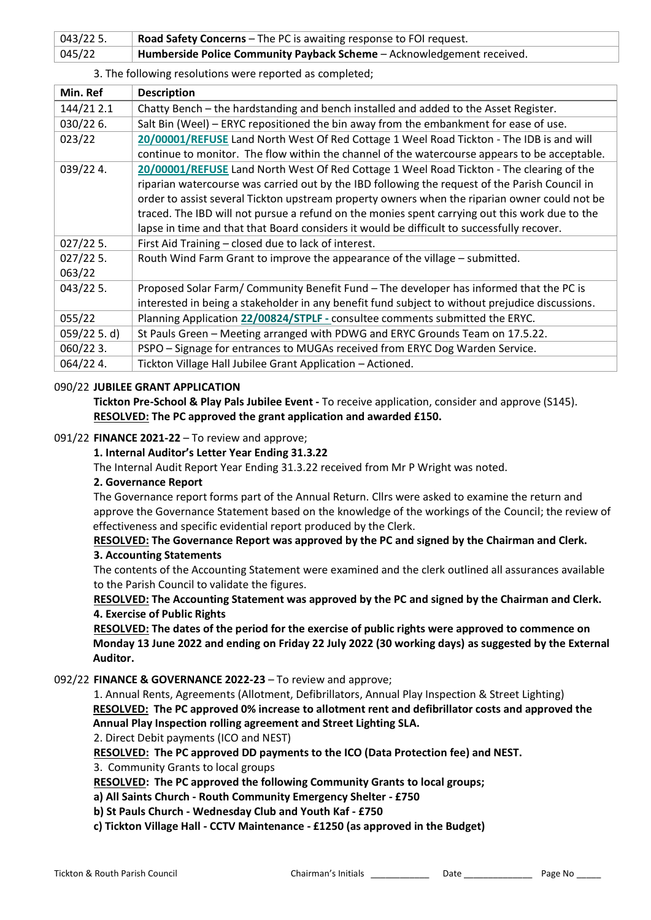| $043/225$ . | <b>Road Safety Concerns</b> – The PC is awaiting response to FOI request. |
|-------------|---------------------------------------------------------------------------|
| 045/22      | Humberside Police Community Payback Scheme - Acknowledgement received.    |

#### 3. The following resolutions were reported as completed;

| Min. Ref    | <b>Description</b>                                                                              |
|-------------|-------------------------------------------------------------------------------------------------|
| 144/21 2.1  | Chatty Bench - the hardstanding and bench installed and added to the Asset Register.            |
| 030/226.    | Salt Bin (Weel) - ERYC repositioned the bin away from the embankment for ease of use.           |
| 023/22      | 20/00001/REFUSE Land North West Of Red Cottage 1 Weel Road Tickton - The IDB is and will        |
|             | continue to monitor. The flow within the channel of the watercourse appears to be acceptable.   |
| 039/224.    | 20/00001/REFUSE Land North West Of Red Cottage 1 Weel Road Tickton - The clearing of the        |
|             | riparian watercourse was carried out by the IBD following the request of the Parish Council in  |
|             | order to assist several Tickton upstream property owners when the riparian owner could not be   |
|             | traced. The IBD will not pursue a refund on the monies spent carrying out this work due to the  |
|             | lapse in time and that that Board considers it would be difficult to successfully recover.      |
| $027/225$ . | First Aid Training - closed due to lack of interest.                                            |
| $027/225$ . | Routh Wind Farm Grant to improve the appearance of the village - submitted.                     |
| 063/22      |                                                                                                 |
| $043/225$ . | Proposed Solar Farm/Community Benefit Fund - The developer has informed that the PC is          |
|             | interested in being a stakeholder in any benefit fund subject to without prejudice discussions. |
| 055/22      | Planning Application 22/00824/STPLF - consultee comments submitted the ERYC.                    |
| 059/225. d) | St Pauls Green - Meeting arranged with PDWG and ERYC Grounds Team on 17.5.22.                   |
| 060/223.    | PSPO - Signage for entrances to MUGAs received from ERYC Dog Warden Service.                    |
| 064/224.    | Tickton Village Hall Jubilee Grant Application - Actioned.                                      |

#### 090/22 **JUBILEE GRANT APPLICATION**

**Tickton Pre-School & Play Pals Jubilee Event -** To receive application, consider and approve (S145). **RESOLVED: The PC approved the grant application and awarded £150.**

#### 091/22 **FINANCE 2021-22** – To review and approve;

#### **1. Internal Auditor's Letter Year Ending 31.3.22**

The Internal Audit Report Year Ending 31.3.22 received from Mr P Wright was noted.

#### **2. Governance Report**

The Governance report forms part of the Annual Return. Cllrs were asked to examine the return and approve the Governance Statement based on the knowledge of the workings of the Council; the review of effectiveness and specific evidential report produced by the Clerk.

#### **RESOLVED: The Governance Report was approved by the PC and signed by the Chairman and Clerk. 3. Accounting Statements**

The contents of the Accounting Statement were examined and the clerk outlined all assurances available to the Parish Council to validate the figures.

**RESOLVED: The Accounting Statement was approved by the PC and signed by the Chairman and Clerk. 4. Exercise of Public Rights**

**RESOLVED: The dates of the period for the exercise of public rights were approved to commence on Monday 13 June 2022 and ending on Friday 22 July 2022 (30 working days) as suggested by the External Auditor.**

#### 092/22 **FINANCE & GOVERNANCE 2022-23** – To review and approve;

1. Annual Rents, Agreements (Allotment, Defibrillators, Annual Play Inspection & Street Lighting) **RESOLVED: The PC approved 0% increase to allotment rent and defibrillator costs and approved the Annual Play Inspection rolling agreement and Street Lighting SLA.**

2. Direct Debit payments (ICO and NEST)

**RESOLVED: The PC approved DD payments to the ICO (Data Protection fee) and NEST.**

3. Community Grants to local groups

**RESOLVED: The PC approved the following Community Grants to local groups;**

**a) All Saints Church - Routh Community Emergency Shelter - £750**

**b) St Pauls Church - Wednesday Club and Youth Kaf - £750**

**c) Tickton Village Hall - CCTV Maintenance - £1250 (as approved in the Budget)**